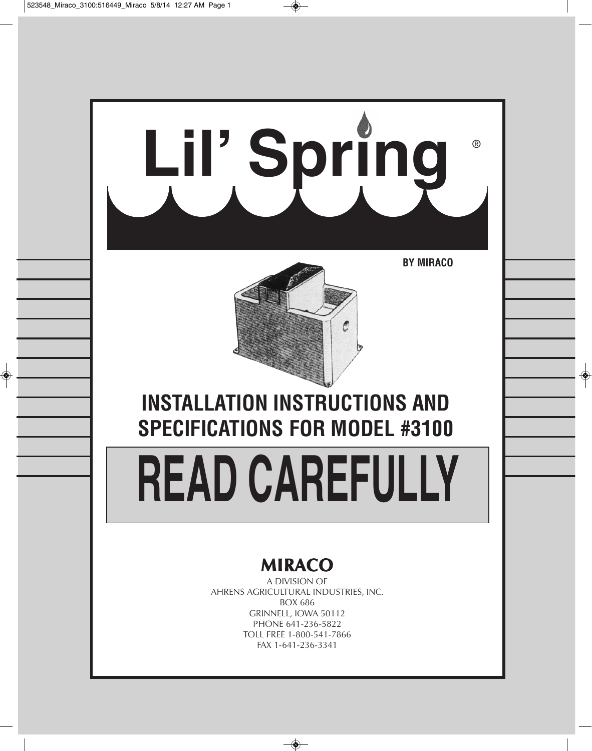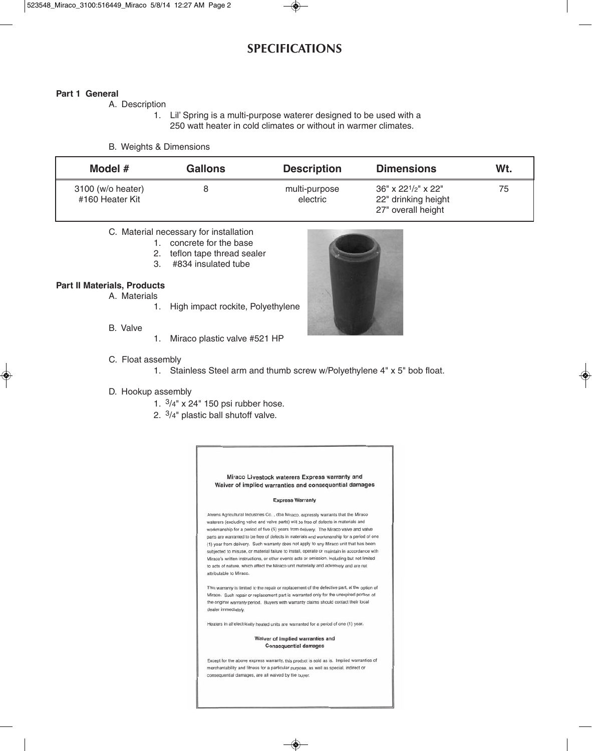# **SPECIFICATIONS**

#### **Part 1 General**

A. Description

1. Lil' Spring is a multi-purpose waterer designed to be used with a 250 watt heater in cold climates or without in warmer climates.

#### B. Weights & Dimensions

| Model $#$                            | <b>Gallons</b> | <b>Description</b>        | <b>Dimensions</b>                                                  | Wt. |
|--------------------------------------|----------------|---------------------------|--------------------------------------------------------------------|-----|
| 3100 (w/o heater)<br>#160 Heater Kit |                | multi-purpose<br>electric | $36''$ x 221/2" x 22"<br>22" drinking height<br>27" overall height | 75  |

#### C. Material necessary for installation

- 1. concrete for the base
- 2. teflon tape thread sealer
- 3. #834 insulated tube

#### **Part II Materials, Products**

- A. Materials
	- 1. High impact rockite, Polyethylene
- B. Valve
- 1. Miraco plastic valve #521 HP
- C. Float assembly
	- 1. Stainless Steel arm and thumb screw w/Polyethylene 4" x 5" bob float.

#### D. Hookup assembly

- 1. 3/4" x 24" 150 psi rubber hose.
- 2. 3/4" plastic ball shutoff valve.



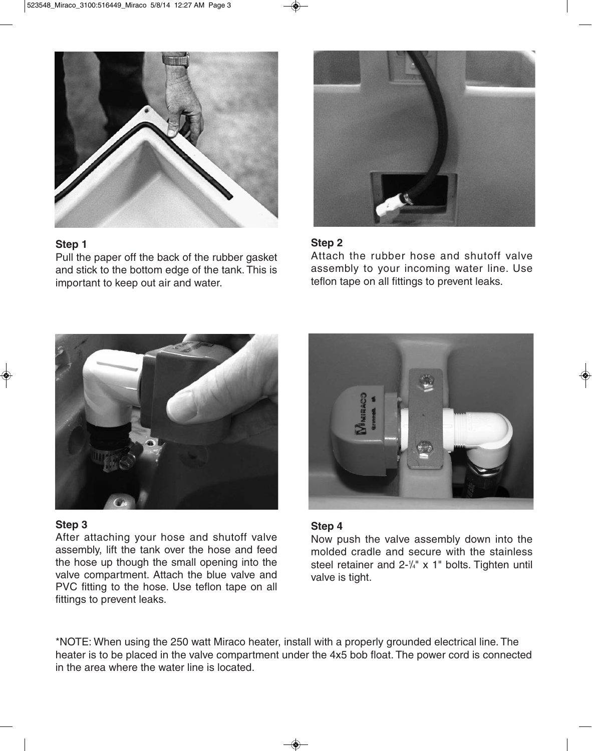

# **Step 1**

Pull the paper off the back of the rubber gasket and stick to the bottom edge of the tank. This is important to keep out air and water.



## **Step 2**

Attach the rubber hose and shutoff valve assembly to your incoming water line. Use teflon tape on all fittings to prevent leaks.



## **Step 3**

After attaching your hose and shutoff valve assembly, lift the tank over the hose and feed the hose up though the small opening into the valve compartment. Attach the blue valve and PVC fitting to the hose. Use teflon tape on all fittings to prevent leaks.



### **Step 4**

Now push the valve assembly down into the molded cradle and secure with the stainless steel retainer and  $2-\frac{1}{4}$ " x 1" bolts. Tighten until valve is tight.

\*NOTE: When using the 250 watt Miraco heater, install with a properly grounded electrical line. The heater is to be placed in the valve compartment under the 4x5 bob float. The power cord is connected in the area where the water line is located.